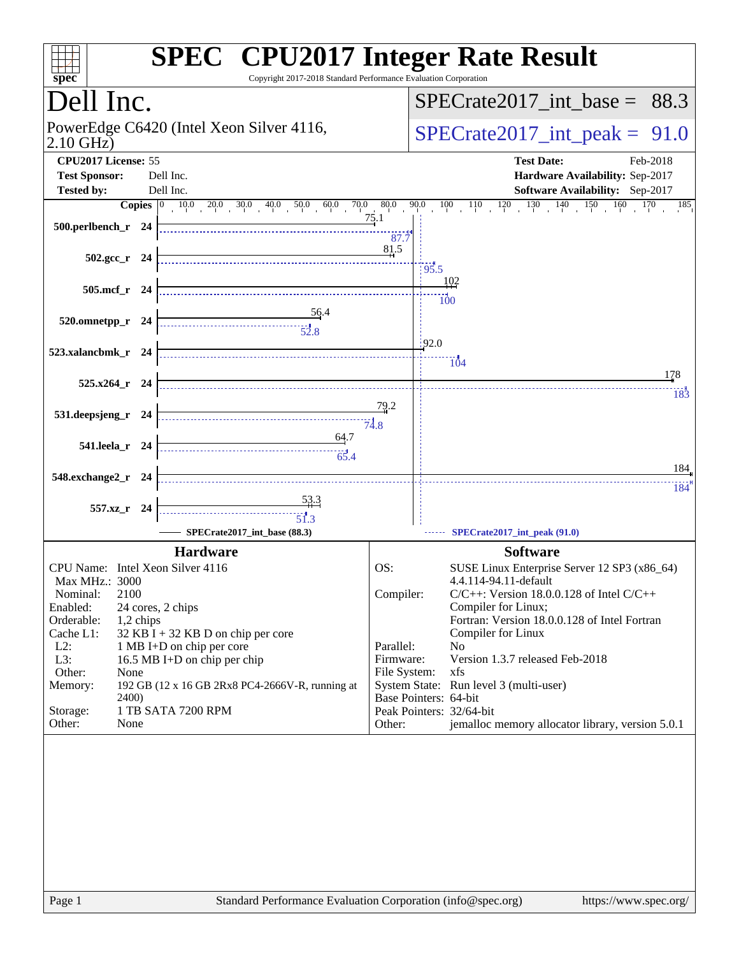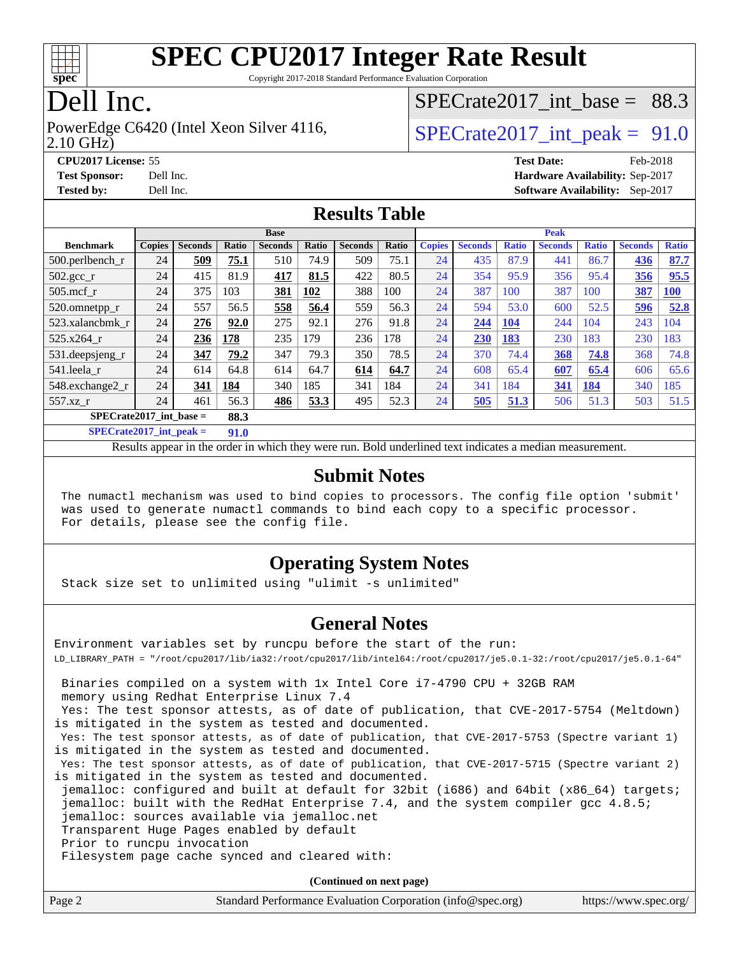

Copyright 2017-2018 Standard Performance Evaluation Corporation

## Dell Inc.

2.10 GHz) PowerEdge C6420 (Intel Xeon Silver 4116,  $\vert$  SPECrate 2017 int peak = 91.0

SPECrate2017 int\_base =  $88.3$ 

**[CPU2017 License:](http://www.spec.org/auto/cpu2017/Docs/result-fields.html#CPU2017License)** 55 **[Test Date:](http://www.spec.org/auto/cpu2017/Docs/result-fields.html#TestDate)** Feb-2018 **[Test Sponsor:](http://www.spec.org/auto/cpu2017/Docs/result-fields.html#TestSponsor)** Dell Inc. **[Hardware Availability:](http://www.spec.org/auto/cpu2017/Docs/result-fields.html#HardwareAvailability)** Sep-2017 **[Tested by:](http://www.spec.org/auto/cpu2017/Docs/result-fields.html#Testedby)** Dell Inc. **[Software Availability:](http://www.spec.org/auto/cpu2017/Docs/result-fields.html#SoftwareAvailability)** Sep-2017

#### **[Results Table](http://www.spec.org/auto/cpu2017/Docs/result-fields.html#ResultsTable)**

|                                   | <b>Base</b>   |                |       |                |              | <b>Peak</b>    |              |               |                |              |                |              |                |              |
|-----------------------------------|---------------|----------------|-------|----------------|--------------|----------------|--------------|---------------|----------------|--------------|----------------|--------------|----------------|--------------|
| <b>Benchmark</b>                  | <b>Copies</b> | <b>Seconds</b> | Ratio | <b>Seconds</b> | <b>Ratio</b> | <b>Seconds</b> | <b>Ratio</b> | <b>Copies</b> | <b>Seconds</b> | <b>Ratio</b> | <b>Seconds</b> | <b>Ratio</b> | <b>Seconds</b> | <b>Ratio</b> |
| $500.$ perlbench_r                | 24            | 509            | 75.1  | 510            | 74.9         | 509            | 75.1         | 24            | 435            | 87.9         | 441            | 86.7         | 436            | 87.7         |
| $502.\text{gcc}_{r}$              | 24            | 415            | 81.9  | 417            | 81.5         | 422            | 80.5         | 24            | 354            | 95.9         | 356            | 95.4         | 356            | 95.5         |
| $505$ .mcf r                      | 24            | 375            | 103   | 381            | 102          | 388            | 100          | 24            | 387            | 100          | 387            | 100          | 387            | 100          |
| 520.omnetpp_r                     | 24            | 557            | 56.5  | 558            | 56.4         | 559            | 56.3         | 24            | 594            | 53.0         | 600            | 52.5         | 596            | 52.8         |
| 523.xalancbmk r                   | 24            | 276            | 92.0  | 275            | 92.1         | 276            | 91.8         | 24            | 244            | 104          | 244            | 104          | 243            | 104          |
| 525.x264 r                        | 24            | 236            | 178   | 235            | 179          | 236            | 178          | 24            | 230            | 183          | 230            | 183          | 230            | 183          |
| 531.deepsjeng_r                   | 24            | 347            | 79.2  | 347            | 79.3         | 350            | 78.5         | 24            | 370            | 74.4         | 368            | 74.8         | 368            | 74.8         |
| 541.leela r                       | 24            | 614            | 64.8  | 614            | 64.7         | 614            | 64.7         | 24            | 608            | 65.4         | 607            | 65.4         | 606            | 65.6         |
| 548.exchange2_r                   | 24            | 341            | 184   | 340            | 185          | 341            | 184          | 24            | 341            | 184          | 341            | 184          | 340            | 185          |
| 557.xz r                          | 24            | 461            | 56.3  | 486            | 53.3         | 495            | 52.3         | 24            | 505            | 51.3         | 506            | 51.3         | 503            | 51.5         |
| $SPECrate2017$ int base =<br>88.3 |               |                |       |                |              |                |              |               |                |              |                |              |                |              |

**[SPECrate2017\\_int\\_peak =](http://www.spec.org/auto/cpu2017/Docs/result-fields.html#SPECrate2017intpeak) 91.0**

Results appear in the [order in which they were run.](http://www.spec.org/auto/cpu2017/Docs/result-fields.html#RunOrder) Bold underlined text [indicates a median measurement.](http://www.spec.org/auto/cpu2017/Docs/result-fields.html#Median)

#### **[Submit Notes](http://www.spec.org/auto/cpu2017/Docs/result-fields.html#SubmitNotes)**

 The numactl mechanism was used to bind copies to processors. The config file option 'submit' was used to generate numactl commands to bind each copy to a specific processor. For details, please see the config file.

#### **[Operating System Notes](http://www.spec.org/auto/cpu2017/Docs/result-fields.html#OperatingSystemNotes)**

Stack size set to unlimited using "ulimit -s unlimited"

#### **[General Notes](http://www.spec.org/auto/cpu2017/Docs/result-fields.html#GeneralNotes)**

Environment variables set by runcpu before the start of the run: LD\_LIBRARY\_PATH = "/root/cpu2017/lib/ia32:/root/cpu2017/lib/intel64:/root/cpu2017/je5.0.1-32:/root/cpu2017/je5.0.1-64" Binaries compiled on a system with 1x Intel Core i7-4790 CPU + 32GB RAM memory using Redhat Enterprise Linux 7.4

 Yes: The test sponsor attests, as of date of publication, that CVE-2017-5754 (Meltdown) is mitigated in the system as tested and documented.

 Yes: The test sponsor attests, as of date of publication, that CVE-2017-5753 (Spectre variant 1) is mitigated in the system as tested and documented.

 Yes: The test sponsor attests, as of date of publication, that CVE-2017-5715 (Spectre variant 2) is mitigated in the system as tested and documented.

 jemalloc: configured and built at default for 32bit (i686) and 64bit (x86\_64) targets; jemalloc: built with the RedHat Enterprise 7.4, and the system compiler gcc 4.8.5; jemalloc: sources available via jemalloc.net

Transparent Huge Pages enabled by default

Prior to runcpu invocation

Filesystem page cache synced and cleared with:

**(Continued on next page)**

| Page 2 | Standard Performance Evaluation Corporation (info@spec.org) | https://www.spec.org/ |
|--------|-------------------------------------------------------------|-----------------------|
|--------|-------------------------------------------------------------|-----------------------|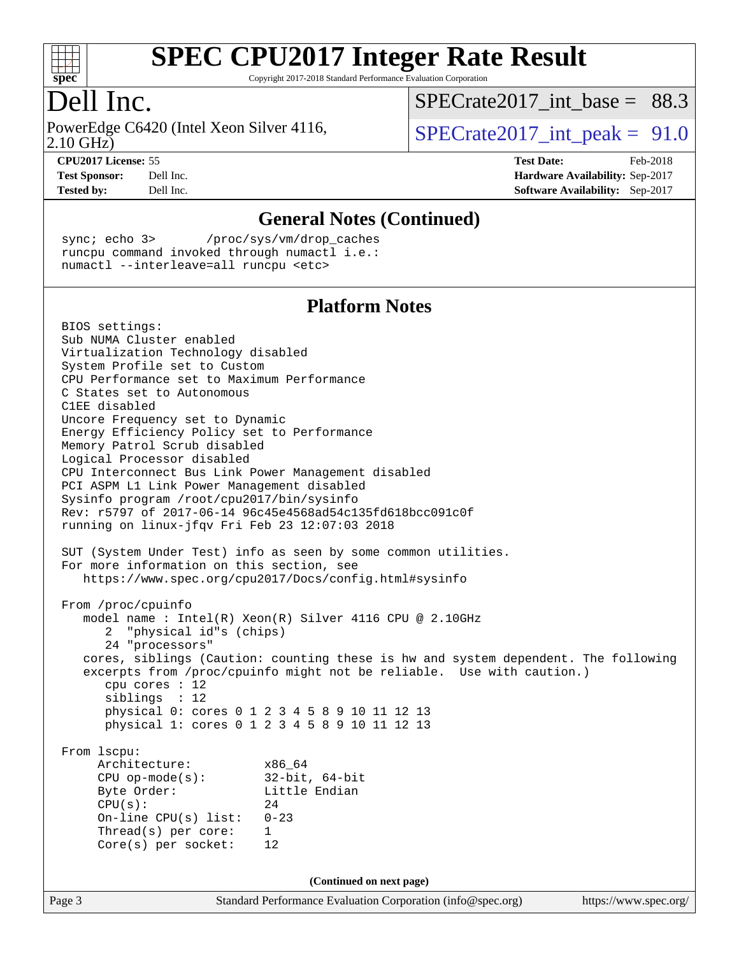

Copyright 2017-2018 Standard Performance Evaluation Corporation

### Dell Inc.

2.10 GHz) PowerEdge C6420 (Intel Xeon Silver 4116,  $\vert$  SPECrate 2017 int peak = 91.0

SPECrate2017 int\_base =  $88.3$ 

**[CPU2017 License:](http://www.spec.org/auto/cpu2017/Docs/result-fields.html#CPU2017License)** 55 **[Test Date:](http://www.spec.org/auto/cpu2017/Docs/result-fields.html#TestDate)** Feb-2018 **[Test Sponsor:](http://www.spec.org/auto/cpu2017/Docs/result-fields.html#TestSponsor)** Dell Inc. **[Hardware Availability:](http://www.spec.org/auto/cpu2017/Docs/result-fields.html#HardwareAvailability)** Sep-2017 **[Tested by:](http://www.spec.org/auto/cpu2017/Docs/result-fields.html#Testedby)** Dell Inc. **[Software Availability:](http://www.spec.org/auto/cpu2017/Docs/result-fields.html#SoftwareAvailability)** Sep-2017

**[General Notes \(Continued\)](http://www.spec.org/auto/cpu2017/Docs/result-fields.html#GeneralNotes)** sync; echo 3> /proc/sys/vm/drop\_caches runcpu command invoked through numactl i.e.: numactl --interleave=all runcpu <etc> **[Platform Notes](http://www.spec.org/auto/cpu2017/Docs/result-fields.html#PlatformNotes)** BIOS settings: Sub NUMA Cluster enabled Virtualization Technology disabled System Profile set to Custom CPU Performance set to Maximum Performance C States set to Autonomous C1EE disabled Uncore Frequency set to Dynamic Energy Efficiency Policy set to Performance Memory Patrol Scrub disabled Logical Processor disabled CPU Interconnect Bus Link Power Management disabled PCI ASPM L1 Link Power Management disabled Sysinfo program /root/cpu2017/bin/sysinfo Rev: r5797 of 2017-06-14 96c45e4568ad54c135fd618bcc091c0f running on linux-jfqv Fri Feb 23 12:07:03 2018 SUT (System Under Test) info as seen by some common utilities. For more information on this section, see <https://www.spec.org/cpu2017/Docs/config.html#sysinfo> From /proc/cpuinfo model name : Intel(R) Xeon(R) Silver 4116 CPU @ 2.10GHz 2 "physical id"s (chips) 24 "processors" cores, siblings (Caution: counting these is hw and system dependent. The following excerpts from /proc/cpuinfo might not be reliable. Use with caution.) cpu cores : 12 siblings : 12 physical 0: cores 0 1 2 3 4 5 8 9 10 11 12 13 physical 1: cores 0 1 2 3 4 5 8 9 10 11 12 13 From lscpu: Architecture: x86\_64 CPU op-mode(s): 32-bit, 64-bit Byte Order: Little Endian  $CPU(s):$  24 On-line CPU(s) list: 0-23 Thread(s) per core: 1 Core(s) per socket: 12 **(Continued on next page)**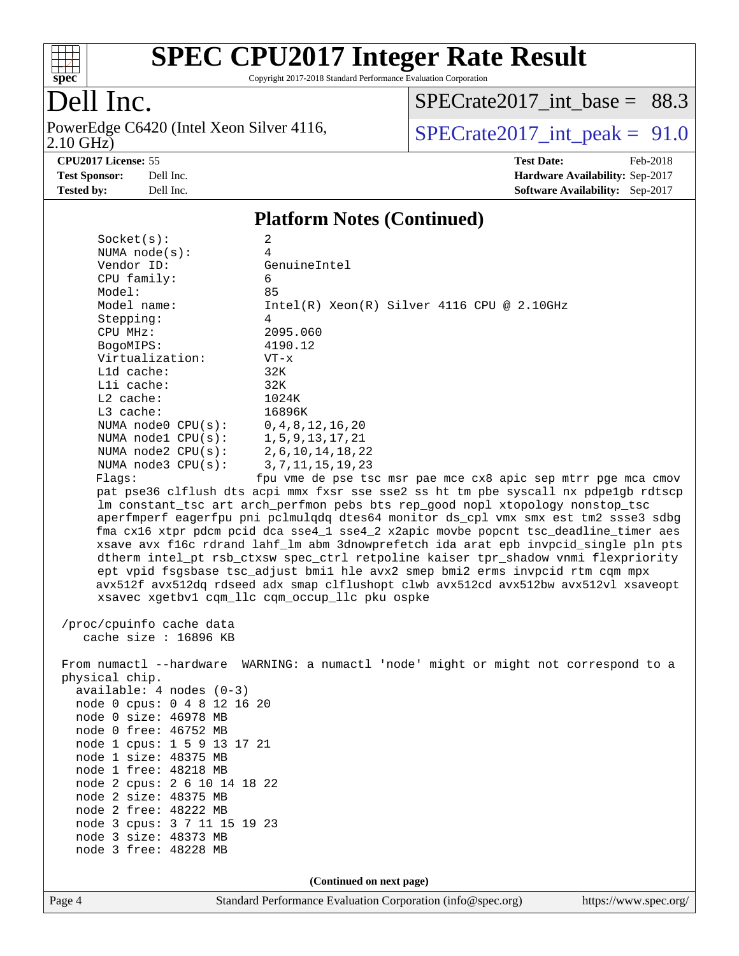

Copyright 2017-2018 Standard Performance Evaluation Corporation

Dell Inc.<br>PowerEdge C6420 (Intel Xeon Silver 4116, 2.10 GHz)

 $SPECTate2017\_int\_base = 88.3$ 

 $SPECTate 2017\_int\_peak = 91.0$ 

**[CPU2017 License:](http://www.spec.org/auto/cpu2017/Docs/result-fields.html#CPU2017License)** 55 **[Test Date:](http://www.spec.org/auto/cpu2017/Docs/result-fields.html#TestDate)** Feb-2018 **[Test Sponsor:](http://www.spec.org/auto/cpu2017/Docs/result-fields.html#TestSponsor)** Dell Inc. **[Hardware Availability:](http://www.spec.org/auto/cpu2017/Docs/result-fields.html#HardwareAvailability)** Sep-2017 **[Tested by:](http://www.spec.org/auto/cpu2017/Docs/result-fields.html#Testedby)** Dell Inc. **[Software Availability:](http://www.spec.org/auto/cpu2017/Docs/result-fields.html#SoftwareAvailability)** Sep-2017

#### **[Platform Notes \(Continued\)](http://www.spec.org/auto/cpu2017/Docs/result-fields.html#PlatformNotes)**

| Page 4                                         | Standard Performance Evaluation Corporation (info@spec.org)                                                                                                                                                                                                                                                  | https://www.spec.org/ |
|------------------------------------------------|--------------------------------------------------------------------------------------------------------------------------------------------------------------------------------------------------------------------------------------------------------------------------------------------------------------|-----------------------|
|                                                | (Continued on next page)                                                                                                                                                                                                                                                                                     |                       |
|                                                |                                                                                                                                                                                                                                                                                                              |                       |
| node 3 free: 48228 MB                          |                                                                                                                                                                                                                                                                                                              |                       |
| node 3 size: 48373 MB                          |                                                                                                                                                                                                                                                                                                              |                       |
| node 3 cpus: 3 7 11 15 19 23                   |                                                                                                                                                                                                                                                                                                              |                       |
| node 2 free: 48222 MB                          |                                                                                                                                                                                                                                                                                                              |                       |
| node 2 size: 48375 MB                          |                                                                                                                                                                                                                                                                                                              |                       |
| node 2 cpus: 2 6 10 14 18 22                   |                                                                                                                                                                                                                                                                                                              |                       |
| node 1 free: 48218 MB                          |                                                                                                                                                                                                                                                                                                              |                       |
| node 1 size: 48375 MB                          |                                                                                                                                                                                                                                                                                                              |                       |
| node 1 cpus: 1 5 9 13 17 21                    |                                                                                                                                                                                                                                                                                                              |                       |
| node 0 size: 46978 MB<br>node 0 free: 46752 MB |                                                                                                                                                                                                                                                                                                              |                       |
| node 0 cpus: 0 4 8 12 16 20                    |                                                                                                                                                                                                                                                                                                              |                       |
| $available: 4 nodes (0-3)$                     |                                                                                                                                                                                                                                                                                                              |                       |
| physical chip.                                 |                                                                                                                                                                                                                                                                                                              |                       |
|                                                | From numactl --hardware WARNING: a numactl 'node' might or might not correspond to a                                                                                                                                                                                                                         |                       |
|                                                |                                                                                                                                                                                                                                                                                                              |                       |
| cache size : 16896 KB                          |                                                                                                                                                                                                                                                                                                              |                       |
| /proc/cpuinfo cache data                       |                                                                                                                                                                                                                                                                                                              |                       |
|                                                | dtherm intel_pt rsb_ctxsw spec_ctrl retpoline kaiser tpr_shadow vnmi flexpriority<br>ept vpid fsgsbase tsc_adjust bmil hle avx2 smep bmi2 erms invpcid rtm cqm mpx<br>avx512f avx512dq rdseed adx smap clflushopt clwb avx512cd avx512bw avx512vl xsaveopt<br>xsavec xgetbv1 cqm_llc cqm_occup_llc pku ospke |                       |
|                                                | xsave avx f16c rdrand lahf_lm abm 3dnowprefetch ida arat epb invpcid_single pln pts                                                                                                                                                                                                                          |                       |
|                                                | fma cx16 xtpr pdcm pcid dca sse4_1 sse4_2 x2apic movbe popcnt tsc_deadline_timer aes                                                                                                                                                                                                                         |                       |
|                                                | aperfmperf eagerfpu pni pclmulqdq dtes64 monitor ds_cpl vmx smx est tm2 ssse3 sdbg                                                                                                                                                                                                                           |                       |
|                                                | lm constant_tsc art arch_perfmon pebs bts rep_good nopl xtopology nonstop_tsc                                                                                                                                                                                                                                |                       |
|                                                | pat pse36 clflush dts acpi mmx fxsr sse sse2 ss ht tm pbe syscall nx pdpelgb rdtscp                                                                                                                                                                                                                          |                       |
| Flags:                                         | fpu vme de pse tsc msr pae mce cx8 apic sep mtrr pge mca cmov                                                                                                                                                                                                                                                |                       |
| NUMA $node3$ $CPU(s):$                         | 3, 7, 11, 15, 19, 23                                                                                                                                                                                                                                                                                         |                       |
| NUMA node2 CPU(s):                             | 2, 6, 10, 14, 18, 22                                                                                                                                                                                                                                                                                         |                       |
| NUMA nodel CPU(s):                             | 1, 5, 9, 13, 17, 21                                                                                                                                                                                                                                                                                          |                       |
| NUMA node0 CPU(s):                             | 0, 4, 8, 12, 16, 20                                                                                                                                                                                                                                                                                          |                       |
| L3 cache:                                      | 16896K                                                                                                                                                                                                                                                                                                       |                       |
| L2 cache:                                      | 1024K                                                                                                                                                                                                                                                                                                        |                       |
| Lli cache:                                     | 32K                                                                                                                                                                                                                                                                                                          |                       |
| L1d cache:                                     | 32K                                                                                                                                                                                                                                                                                                          |                       |
| Virtualization:                                | $VT - x$                                                                                                                                                                                                                                                                                                     |                       |
| BogoMIPS:                                      | 4190.12                                                                                                                                                                                                                                                                                                      |                       |
| CPU MHz:                                       | 2095.060                                                                                                                                                                                                                                                                                                     |                       |
| Stepping:                                      | 4                                                                                                                                                                                                                                                                                                            |                       |
| Model name:                                    | $Intel(R) Xeon(R) Silver 4116 CPU @ 2.10GHz$                                                                                                                                                                                                                                                                 |                       |
| CPU family:<br>Model:                          | 6<br>85                                                                                                                                                                                                                                                                                                      |                       |
| Vendor ID:                                     | GenuineIntel                                                                                                                                                                                                                                                                                                 |                       |
| NUMA node(s):                                  | 4                                                                                                                                                                                                                                                                                                            |                       |
| Socket(s):                                     | 2                                                                                                                                                                                                                                                                                                            |                       |
|                                                |                                                                                                                                                                                                                                                                                                              |                       |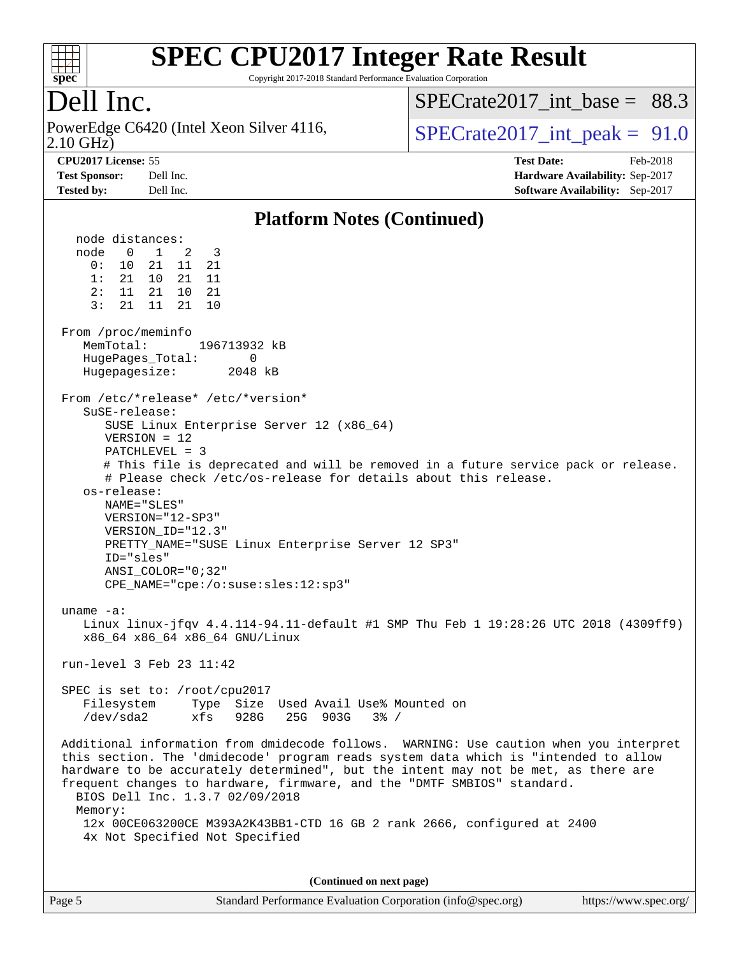

Copyright 2017-2018 Standard Performance Evaluation Corporation

## Dell Inc.

2.10 GHz) PowerEdge C6420 (Intel Xeon Silver 4116,  $\vert$  SPECrate 2017 int peak = 91.0

SPECrate2017 int\_base =  $88.3$ 

**[CPU2017 License:](http://www.spec.org/auto/cpu2017/Docs/result-fields.html#CPU2017License)** 55 **[Test Date:](http://www.spec.org/auto/cpu2017/Docs/result-fields.html#TestDate)** Feb-2018 **[Test Sponsor:](http://www.spec.org/auto/cpu2017/Docs/result-fields.html#TestSponsor)** Dell Inc. **[Hardware Availability:](http://www.spec.org/auto/cpu2017/Docs/result-fields.html#HardwareAvailability)** Sep-2017 **[Tested by:](http://www.spec.org/auto/cpu2017/Docs/result-fields.html#Testedby)** Dell Inc. **[Software Availability:](http://www.spec.org/auto/cpu2017/Docs/result-fields.html#SoftwareAvailability)** Sep-2017

#### **[Platform Notes \(Continued\)](http://www.spec.org/auto/cpu2017/Docs/result-fields.html#PlatformNotes)**

 node distances: node 0 1 2 3 0: 10 21 11 21 1: 21 10 21 11 2: 11 21 10 21 3: 21 11 21 10 From /proc/meminfo MemTotal: 196713932 kB HugePages\_Total: 0 Hugepagesize: 2048 kB From /etc/\*release\* /etc/\*version\* SuSE-release: SUSE Linux Enterprise Server 12 (x86\_64) VERSION = 12 PATCHLEVEL = 3 # This file is deprecated and will be removed in a future service pack or release. # Please check /etc/os-release for details about this release. os-release: NAME="SLES" VERSION="12-SP3" VERSION\_ID="12.3" PRETTY\_NAME="SUSE Linux Enterprise Server 12 SP3" ID="sles" ANSI\_COLOR="0;32" CPE\_NAME="cpe:/o:suse:sles:12:sp3" uname -a: Linux linux-jfqv 4.4.114-94.11-default #1 SMP Thu Feb 1 19:28:26 UTC 2018 (4309ff9) x86\_64 x86\_64 x86\_64 GNU/Linux run-level 3 Feb 23 11:42 SPEC is set to: /root/cpu2017 Filesystem Type Size Used Avail Use% Mounted on /dev/sda2 xfs 928G 25G 903G 3% / Additional information from dmidecode follows. WARNING: Use caution when you interpret this section. The 'dmidecode' program reads system data which is "intended to allow hardware to be accurately determined", but the intent may not be met, as there are frequent changes to hardware, firmware, and the "DMTF SMBIOS" standard. BIOS Dell Inc. 1.3.7 02/09/2018 Memory: 12x 00CE063200CE M393A2K43BB1-CTD 16 GB 2 rank 2666, configured at 2400 4x Not Specified Not Specified **(Continued on next page)**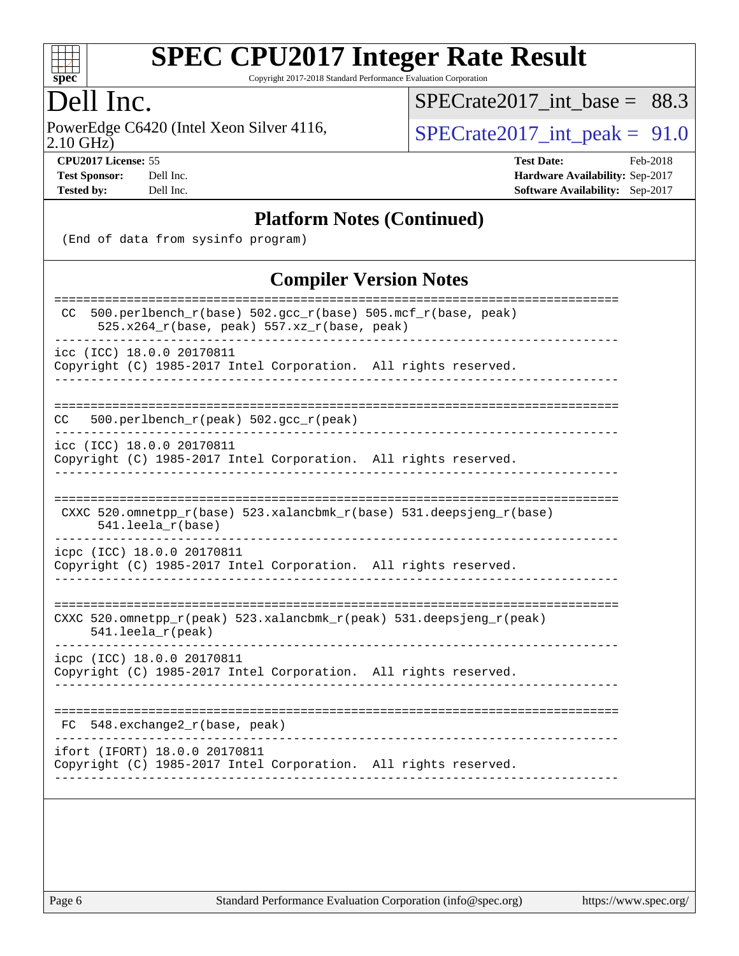

Copyright 2017-2018 Standard Performance Evaluation Corporation

### Dell Inc.

2.10 GHz) PowerEdge C6420 (Intel Xeon Silver 4116,  $\text{SPECrate2017\_int\_peak} = 91.0$ 

[SPECrate2017\\_int\\_base =](http://www.spec.org/auto/cpu2017/Docs/result-fields.html#SPECrate2017intbase) 88.3

**[CPU2017 License:](http://www.spec.org/auto/cpu2017/Docs/result-fields.html#CPU2017License)** 55 **[Test Date:](http://www.spec.org/auto/cpu2017/Docs/result-fields.html#TestDate)** Feb-2018 **[Test Sponsor:](http://www.spec.org/auto/cpu2017/Docs/result-fields.html#TestSponsor)** Dell Inc. **[Hardware Availability:](http://www.spec.org/auto/cpu2017/Docs/result-fields.html#HardwareAvailability)** Sep-2017 **[Tested by:](http://www.spec.org/auto/cpu2017/Docs/result-fields.html#Testedby)** Dell Inc. **[Software Availability:](http://www.spec.org/auto/cpu2017/Docs/result-fields.html#SoftwareAvailability)** Sep-2017

#### **[Platform Notes \(Continued\)](http://www.spec.org/auto/cpu2017/Docs/result-fields.html#PlatformNotes)**

(End of data from sysinfo program)

#### **[Compiler Version Notes](http://www.spec.org/auto/cpu2017/Docs/result-fields.html#CompilerVersionNotes)**

| 500.perlbench_r(base) 502.gcc_r(base) 505.mcf_r(base, peak)<br>CC.<br>$525.x264_r(base, peak) 557.xz_r(base, peak)$ |
|---------------------------------------------------------------------------------------------------------------------|
| icc (ICC) 18.0.0 20170811<br>Copyright (C) 1985-2017 Intel Corporation. All rights reserved.                        |
|                                                                                                                     |
| 500.perlbench_r(peak) 502.gcc_r(peak)<br>CC.                                                                        |
| icc (ICC) 18.0.0 20170811<br>Copyright (C) 1985-2017 Intel Corporation. All rights reserved.                        |
| CXXC 520.omnetpp_r(base) 523.xalancbmk_r(base) 531.deepsjeng_r(base)<br>$541.$ leela $r(base)$                      |
| icpc (ICC) 18.0.0 20170811<br>Copyright (C) 1985-2017 Intel Corporation. All rights reserved.                       |
| CXXC 520.omnetpp_r(peak) 523.xalancbmk_r(peak) 531.deepsjeng_r(peak)<br>$541.$ leela_r(peak)                        |
| icpc (ICC) 18.0.0 20170811<br>Copyright (C) 1985-2017 Intel Corporation. All rights reserved.                       |
| $FC 548. exchange2_r(base, peak)$                                                                                   |
| ifort (IFORT) 18.0.0 20170811<br>Copyright (C) 1985-2017 Intel Corporation. All rights reserved.                    |
|                                                                                                                     |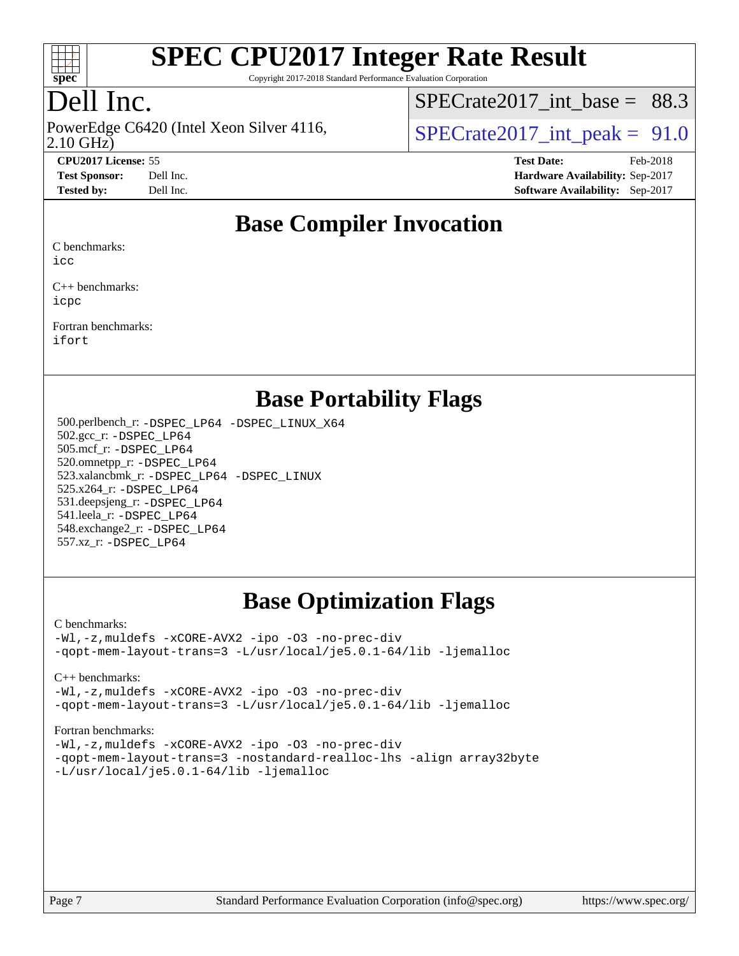

Copyright 2017-2018 Standard Performance Evaluation Corporation

## Dell Inc.

PowerEdge C6420 (Intel Xeon Silver 4116,<br>2.10 GHz)

SPECrate2017 int\_base =  $88.3$ 

SPECrate  $2017$  int peak = 91.0

**[CPU2017 License:](http://www.spec.org/auto/cpu2017/Docs/result-fields.html#CPU2017License)** 55 **[Test Date:](http://www.spec.org/auto/cpu2017/Docs/result-fields.html#TestDate)** Feb-2018 **[Test Sponsor:](http://www.spec.org/auto/cpu2017/Docs/result-fields.html#TestSponsor)** Dell Inc. **[Hardware Availability:](http://www.spec.org/auto/cpu2017/Docs/result-fields.html#HardwareAvailability)** Sep-2017 **[Tested by:](http://www.spec.org/auto/cpu2017/Docs/result-fields.html#Testedby)** Dell Inc. **[Software Availability:](http://www.spec.org/auto/cpu2017/Docs/result-fields.html#SoftwareAvailability)** Sep-2017

#### **[Base Compiler Invocation](http://www.spec.org/auto/cpu2017/Docs/result-fields.html#BaseCompilerInvocation)**

[C benchmarks](http://www.spec.org/auto/cpu2017/Docs/result-fields.html#Cbenchmarks):

[icc](http://www.spec.org/cpu2017/results/res2018q1/cpu2017-20180305-03831.flags.html#user_CCbase_intel_icc_18.0_66fc1ee009f7361af1fbd72ca7dcefbb700085f36577c54f309893dd4ec40d12360134090235512931783d35fd58c0460139e722d5067c5574d8eaf2b3e37e92)

[C++ benchmarks](http://www.spec.org/auto/cpu2017/Docs/result-fields.html#CXXbenchmarks): [icpc](http://www.spec.org/cpu2017/results/res2018q1/cpu2017-20180305-03831.flags.html#user_CXXbase_intel_icpc_18.0_c510b6838c7f56d33e37e94d029a35b4a7bccf4766a728ee175e80a419847e808290a9b78be685c44ab727ea267ec2f070ec5dc83b407c0218cded6866a35d07)

[Fortran benchmarks:](http://www.spec.org/auto/cpu2017/Docs/result-fields.html#Fortranbenchmarks) [ifort](http://www.spec.org/cpu2017/results/res2018q1/cpu2017-20180305-03831.flags.html#user_FCbase_intel_ifort_18.0_8111460550e3ca792625aed983ce982f94888b8b503583aa7ba2b8303487b4d8a21a13e7191a45c5fd58ff318f48f9492884d4413fa793fd88dd292cad7027ca)

#### **[Base Portability Flags](http://www.spec.org/auto/cpu2017/Docs/result-fields.html#BasePortabilityFlags)**

 500.perlbench\_r: [-DSPEC\\_LP64](http://www.spec.org/cpu2017/results/res2018q1/cpu2017-20180305-03831.flags.html#b500.perlbench_r_basePORTABILITY_DSPEC_LP64) [-DSPEC\\_LINUX\\_X64](http://www.spec.org/cpu2017/results/res2018q1/cpu2017-20180305-03831.flags.html#b500.perlbench_r_baseCPORTABILITY_DSPEC_LINUX_X64) 502.gcc\_r: [-DSPEC\\_LP64](http://www.spec.org/cpu2017/results/res2018q1/cpu2017-20180305-03831.flags.html#suite_basePORTABILITY502_gcc_r_DSPEC_LP64) 505.mcf\_r: [-DSPEC\\_LP64](http://www.spec.org/cpu2017/results/res2018q1/cpu2017-20180305-03831.flags.html#suite_basePORTABILITY505_mcf_r_DSPEC_LP64) 520.omnetpp\_r: [-DSPEC\\_LP64](http://www.spec.org/cpu2017/results/res2018q1/cpu2017-20180305-03831.flags.html#suite_basePORTABILITY520_omnetpp_r_DSPEC_LP64) 523.xalancbmk\_r: [-DSPEC\\_LP64](http://www.spec.org/cpu2017/results/res2018q1/cpu2017-20180305-03831.flags.html#suite_basePORTABILITY523_xalancbmk_r_DSPEC_LP64) [-DSPEC\\_LINUX](http://www.spec.org/cpu2017/results/res2018q1/cpu2017-20180305-03831.flags.html#b523.xalancbmk_r_baseCXXPORTABILITY_DSPEC_LINUX) 525.x264\_r: [-DSPEC\\_LP64](http://www.spec.org/cpu2017/results/res2018q1/cpu2017-20180305-03831.flags.html#suite_basePORTABILITY525_x264_r_DSPEC_LP64) 531.deepsjeng\_r: [-DSPEC\\_LP64](http://www.spec.org/cpu2017/results/res2018q1/cpu2017-20180305-03831.flags.html#suite_basePORTABILITY531_deepsjeng_r_DSPEC_LP64) 541.leela\_r: [-DSPEC\\_LP64](http://www.spec.org/cpu2017/results/res2018q1/cpu2017-20180305-03831.flags.html#suite_basePORTABILITY541_leela_r_DSPEC_LP64) 548.exchange2\_r: [-DSPEC\\_LP64](http://www.spec.org/cpu2017/results/res2018q1/cpu2017-20180305-03831.flags.html#suite_basePORTABILITY548_exchange2_r_DSPEC_LP64) 557.xz\_r: [-DSPEC\\_LP64](http://www.spec.org/cpu2017/results/res2018q1/cpu2017-20180305-03831.flags.html#suite_basePORTABILITY557_xz_r_DSPEC_LP64)

## **[Base Optimization Flags](http://www.spec.org/auto/cpu2017/Docs/result-fields.html#BaseOptimizationFlags)**

#### [C benchmarks](http://www.spec.org/auto/cpu2017/Docs/result-fields.html#Cbenchmarks):

[-Wl,-z,muldefs](http://www.spec.org/cpu2017/results/res2018q1/cpu2017-20180305-03831.flags.html#user_CCbase_link_force_multiple1_b4cbdb97b34bdee9ceefcfe54f4c8ea74255f0b02a4b23e853cdb0e18eb4525ac79b5a88067c842dd0ee6996c24547a27a4b99331201badda8798ef8a743f577) [-xCORE-AVX2](http://www.spec.org/cpu2017/results/res2018q1/cpu2017-20180305-03831.flags.html#user_CCbase_f-xCORE-AVX2) [-ipo](http://www.spec.org/cpu2017/results/res2018q1/cpu2017-20180305-03831.flags.html#user_CCbase_f-ipo) [-O3](http://www.spec.org/cpu2017/results/res2018q1/cpu2017-20180305-03831.flags.html#user_CCbase_f-O3) [-no-prec-div](http://www.spec.org/cpu2017/results/res2018q1/cpu2017-20180305-03831.flags.html#user_CCbase_f-no-prec-div) [-qopt-mem-layout-trans=3](http://www.spec.org/cpu2017/results/res2018q1/cpu2017-20180305-03831.flags.html#user_CCbase_f-qopt-mem-layout-trans_de80db37974c74b1f0e20d883f0b675c88c3b01e9d123adea9b28688d64333345fb62bc4a798493513fdb68f60282f9a726aa07f478b2f7113531aecce732043) [-L/usr/local/je5.0.1-64/lib](http://www.spec.org/cpu2017/results/res2018q1/cpu2017-20180305-03831.flags.html#user_CCbase_jemalloc_link_path64_4b10a636b7bce113509b17f3bd0d6226c5fb2346b9178c2d0232c14f04ab830f976640479e5c33dc2bcbbdad86ecfb6634cbbd4418746f06f368b512fced5394) [-ljemalloc](http://www.spec.org/cpu2017/results/res2018q1/cpu2017-20180305-03831.flags.html#user_CCbase_jemalloc_link_lib_d1249b907c500fa1c0672f44f562e3d0f79738ae9e3c4a9c376d49f265a04b9c99b167ecedbf6711b3085be911c67ff61f150a17b3472be731631ba4d0471706)

[C++ benchmarks:](http://www.spec.org/auto/cpu2017/Docs/result-fields.html#CXXbenchmarks)

[-Wl,-z,muldefs](http://www.spec.org/cpu2017/results/res2018q1/cpu2017-20180305-03831.flags.html#user_CXXbase_link_force_multiple1_b4cbdb97b34bdee9ceefcfe54f4c8ea74255f0b02a4b23e853cdb0e18eb4525ac79b5a88067c842dd0ee6996c24547a27a4b99331201badda8798ef8a743f577) [-xCORE-AVX2](http://www.spec.org/cpu2017/results/res2018q1/cpu2017-20180305-03831.flags.html#user_CXXbase_f-xCORE-AVX2) [-ipo](http://www.spec.org/cpu2017/results/res2018q1/cpu2017-20180305-03831.flags.html#user_CXXbase_f-ipo) [-O3](http://www.spec.org/cpu2017/results/res2018q1/cpu2017-20180305-03831.flags.html#user_CXXbase_f-O3) [-no-prec-div](http://www.spec.org/cpu2017/results/res2018q1/cpu2017-20180305-03831.flags.html#user_CXXbase_f-no-prec-div) [-qopt-mem-layout-trans=3](http://www.spec.org/cpu2017/results/res2018q1/cpu2017-20180305-03831.flags.html#user_CXXbase_f-qopt-mem-layout-trans_de80db37974c74b1f0e20d883f0b675c88c3b01e9d123adea9b28688d64333345fb62bc4a798493513fdb68f60282f9a726aa07f478b2f7113531aecce732043) [-L/usr/local/je5.0.1-64/lib](http://www.spec.org/cpu2017/results/res2018q1/cpu2017-20180305-03831.flags.html#user_CXXbase_jemalloc_link_path64_4b10a636b7bce113509b17f3bd0d6226c5fb2346b9178c2d0232c14f04ab830f976640479e5c33dc2bcbbdad86ecfb6634cbbd4418746f06f368b512fced5394) [-ljemalloc](http://www.spec.org/cpu2017/results/res2018q1/cpu2017-20180305-03831.flags.html#user_CXXbase_jemalloc_link_lib_d1249b907c500fa1c0672f44f562e3d0f79738ae9e3c4a9c376d49f265a04b9c99b167ecedbf6711b3085be911c67ff61f150a17b3472be731631ba4d0471706)

#### [Fortran benchmarks](http://www.spec.org/auto/cpu2017/Docs/result-fields.html#Fortranbenchmarks):

[-Wl,-z,muldefs](http://www.spec.org/cpu2017/results/res2018q1/cpu2017-20180305-03831.flags.html#user_FCbase_link_force_multiple1_b4cbdb97b34bdee9ceefcfe54f4c8ea74255f0b02a4b23e853cdb0e18eb4525ac79b5a88067c842dd0ee6996c24547a27a4b99331201badda8798ef8a743f577) [-xCORE-AVX2](http://www.spec.org/cpu2017/results/res2018q1/cpu2017-20180305-03831.flags.html#user_FCbase_f-xCORE-AVX2) [-ipo](http://www.spec.org/cpu2017/results/res2018q1/cpu2017-20180305-03831.flags.html#user_FCbase_f-ipo) [-O3](http://www.spec.org/cpu2017/results/res2018q1/cpu2017-20180305-03831.flags.html#user_FCbase_f-O3) [-no-prec-div](http://www.spec.org/cpu2017/results/res2018q1/cpu2017-20180305-03831.flags.html#user_FCbase_f-no-prec-div) [-qopt-mem-layout-trans=3](http://www.spec.org/cpu2017/results/res2018q1/cpu2017-20180305-03831.flags.html#user_FCbase_f-qopt-mem-layout-trans_de80db37974c74b1f0e20d883f0b675c88c3b01e9d123adea9b28688d64333345fb62bc4a798493513fdb68f60282f9a726aa07f478b2f7113531aecce732043) [-nostandard-realloc-lhs](http://www.spec.org/cpu2017/results/res2018q1/cpu2017-20180305-03831.flags.html#user_FCbase_f_2003_std_realloc_82b4557e90729c0f113870c07e44d33d6f5a304b4f63d4c15d2d0f1fab99f5daaed73bdb9275d9ae411527f28b936061aa8b9c8f2d63842963b95c9dd6426b8a) [-align array32byte](http://www.spec.org/cpu2017/results/res2018q1/cpu2017-20180305-03831.flags.html#user_FCbase_align_array32byte_b982fe038af199962ba9a80c053b8342c548c85b40b8e86eb3cc33dee0d7986a4af373ac2d51c3f7cf710a18d62fdce2948f201cd044323541f22fc0fffc51b6) [-L/usr/local/je5.0.1-64/lib](http://www.spec.org/cpu2017/results/res2018q1/cpu2017-20180305-03831.flags.html#user_FCbase_jemalloc_link_path64_4b10a636b7bce113509b17f3bd0d6226c5fb2346b9178c2d0232c14f04ab830f976640479e5c33dc2bcbbdad86ecfb6634cbbd4418746f06f368b512fced5394) [-ljemalloc](http://www.spec.org/cpu2017/results/res2018q1/cpu2017-20180305-03831.flags.html#user_FCbase_jemalloc_link_lib_d1249b907c500fa1c0672f44f562e3d0f79738ae9e3c4a9c376d49f265a04b9c99b167ecedbf6711b3085be911c67ff61f150a17b3472be731631ba4d0471706)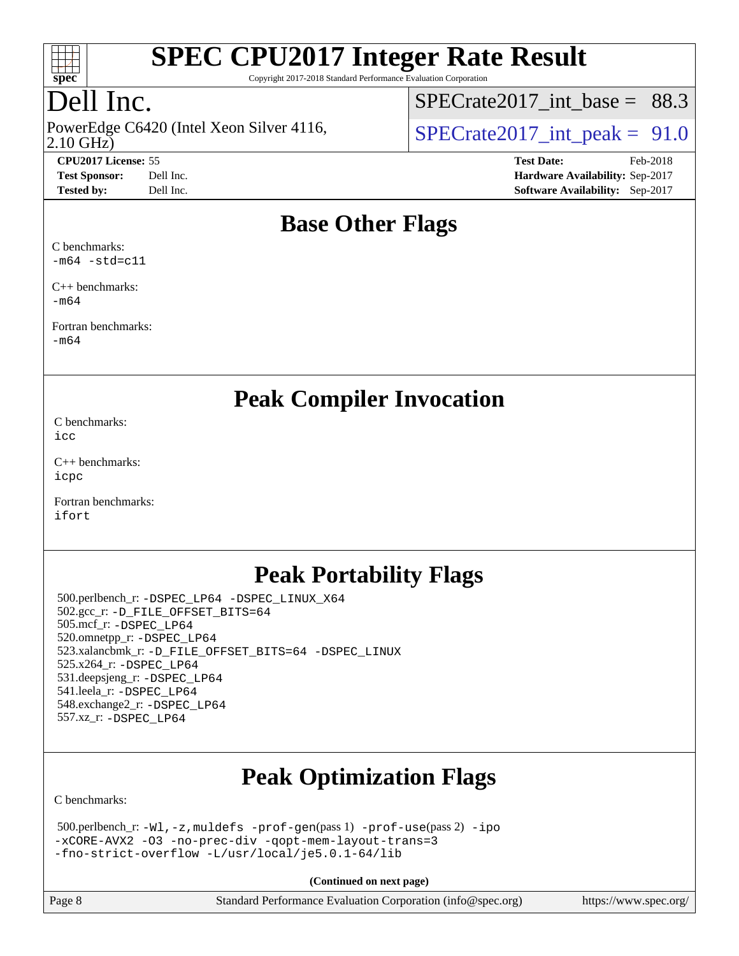

Copyright 2017-2018 Standard Performance Evaluation Corporation

## Dell Inc.

2.10 GHz) PowerEdge C6420 (Intel Xeon Silver 4116,  $\vert$  SPECrate 2017 int peak = 91.0

SPECrate2017 int\_base =  $88.3$ 

**[CPU2017 License:](http://www.spec.org/auto/cpu2017/Docs/result-fields.html#CPU2017License)** 55 **[Test Date:](http://www.spec.org/auto/cpu2017/Docs/result-fields.html#TestDate)** Feb-2018 **[Test Sponsor:](http://www.spec.org/auto/cpu2017/Docs/result-fields.html#TestSponsor)** Dell Inc. **[Hardware Availability:](http://www.spec.org/auto/cpu2017/Docs/result-fields.html#HardwareAvailability)** Sep-2017 **[Tested by:](http://www.spec.org/auto/cpu2017/Docs/result-fields.html#Testedby)** Dell Inc. **[Software Availability:](http://www.spec.org/auto/cpu2017/Docs/result-fields.html#SoftwareAvailability)** Sep-2017

### **[Base Other Flags](http://www.spec.org/auto/cpu2017/Docs/result-fields.html#BaseOtherFlags)**

[C benchmarks:](http://www.spec.org/auto/cpu2017/Docs/result-fields.html#Cbenchmarks)  $-m64$   $-std=cl1$ 

[C++ benchmarks:](http://www.spec.org/auto/cpu2017/Docs/result-fields.html#CXXbenchmarks) [-m64](http://www.spec.org/cpu2017/results/res2018q1/cpu2017-20180305-03831.flags.html#user_CXXbase_intel_intel64_18.0_af43caccfc8ded86e7699f2159af6efc7655f51387b94da716254467f3c01020a5059329e2569e4053f409e7c9202a7efc638f7a6d1ffb3f52dea4a3e31d82ab)

[Fortran benchmarks](http://www.spec.org/auto/cpu2017/Docs/result-fields.html#Fortranbenchmarks): [-m64](http://www.spec.org/cpu2017/results/res2018q1/cpu2017-20180305-03831.flags.html#user_FCbase_intel_intel64_18.0_af43caccfc8ded86e7699f2159af6efc7655f51387b94da716254467f3c01020a5059329e2569e4053f409e7c9202a7efc638f7a6d1ffb3f52dea4a3e31d82ab)

**[Peak Compiler Invocation](http://www.spec.org/auto/cpu2017/Docs/result-fields.html#PeakCompilerInvocation)**

[C benchmarks](http://www.spec.org/auto/cpu2017/Docs/result-fields.html#Cbenchmarks): [icc](http://www.spec.org/cpu2017/results/res2018q1/cpu2017-20180305-03831.flags.html#user_CCpeak_intel_icc_18.0_66fc1ee009f7361af1fbd72ca7dcefbb700085f36577c54f309893dd4ec40d12360134090235512931783d35fd58c0460139e722d5067c5574d8eaf2b3e37e92)

[C++ benchmarks:](http://www.spec.org/auto/cpu2017/Docs/result-fields.html#CXXbenchmarks) [icpc](http://www.spec.org/cpu2017/results/res2018q1/cpu2017-20180305-03831.flags.html#user_CXXpeak_intel_icpc_18.0_c510b6838c7f56d33e37e94d029a35b4a7bccf4766a728ee175e80a419847e808290a9b78be685c44ab727ea267ec2f070ec5dc83b407c0218cded6866a35d07)

[Fortran benchmarks](http://www.spec.org/auto/cpu2017/Docs/result-fields.html#Fortranbenchmarks): [ifort](http://www.spec.org/cpu2017/results/res2018q1/cpu2017-20180305-03831.flags.html#user_FCpeak_intel_ifort_18.0_8111460550e3ca792625aed983ce982f94888b8b503583aa7ba2b8303487b4d8a21a13e7191a45c5fd58ff318f48f9492884d4413fa793fd88dd292cad7027ca)

## **[Peak Portability Flags](http://www.spec.org/auto/cpu2017/Docs/result-fields.html#PeakPortabilityFlags)**

 500.perlbench\_r: [-DSPEC\\_LP64](http://www.spec.org/cpu2017/results/res2018q1/cpu2017-20180305-03831.flags.html#b500.perlbench_r_peakPORTABILITY_DSPEC_LP64) [-DSPEC\\_LINUX\\_X64](http://www.spec.org/cpu2017/results/res2018q1/cpu2017-20180305-03831.flags.html#b500.perlbench_r_peakCPORTABILITY_DSPEC_LINUX_X64) 502.gcc\_r: [-D\\_FILE\\_OFFSET\\_BITS=64](http://www.spec.org/cpu2017/results/res2018q1/cpu2017-20180305-03831.flags.html#user_peakPORTABILITY502_gcc_r_file_offset_bits_64_5ae949a99b284ddf4e95728d47cb0843d81b2eb0e18bdfe74bbf0f61d0b064f4bda2f10ea5eb90e1dcab0e84dbc592acfc5018bc955c18609f94ddb8d550002c) 505.mcf\_r: [-DSPEC\\_LP64](http://www.spec.org/cpu2017/results/res2018q1/cpu2017-20180305-03831.flags.html#suite_peakPORTABILITY505_mcf_r_DSPEC_LP64) 520.omnetpp\_r: [-DSPEC\\_LP64](http://www.spec.org/cpu2017/results/res2018q1/cpu2017-20180305-03831.flags.html#suite_peakPORTABILITY520_omnetpp_r_DSPEC_LP64) 523.xalancbmk\_r: [-D\\_FILE\\_OFFSET\\_BITS=64](http://www.spec.org/cpu2017/results/res2018q1/cpu2017-20180305-03831.flags.html#user_peakPORTABILITY523_xalancbmk_r_file_offset_bits_64_5ae949a99b284ddf4e95728d47cb0843d81b2eb0e18bdfe74bbf0f61d0b064f4bda2f10ea5eb90e1dcab0e84dbc592acfc5018bc955c18609f94ddb8d550002c) [-DSPEC\\_LINUX](http://www.spec.org/cpu2017/results/res2018q1/cpu2017-20180305-03831.flags.html#b523.xalancbmk_r_peakCXXPORTABILITY_DSPEC_LINUX) 525.x264\_r: [-DSPEC\\_LP64](http://www.spec.org/cpu2017/results/res2018q1/cpu2017-20180305-03831.flags.html#suite_peakPORTABILITY525_x264_r_DSPEC_LP64) 531.deepsjeng\_r: [-DSPEC\\_LP64](http://www.spec.org/cpu2017/results/res2018q1/cpu2017-20180305-03831.flags.html#suite_peakPORTABILITY531_deepsjeng_r_DSPEC_LP64) 541.leela\_r: [-DSPEC\\_LP64](http://www.spec.org/cpu2017/results/res2018q1/cpu2017-20180305-03831.flags.html#suite_peakPORTABILITY541_leela_r_DSPEC_LP64) 548.exchange2\_r: [-DSPEC\\_LP64](http://www.spec.org/cpu2017/results/res2018q1/cpu2017-20180305-03831.flags.html#suite_peakPORTABILITY548_exchange2_r_DSPEC_LP64) 557.xz\_r: [-DSPEC\\_LP64](http://www.spec.org/cpu2017/results/res2018q1/cpu2017-20180305-03831.flags.html#suite_peakPORTABILITY557_xz_r_DSPEC_LP64)

# **[Peak Optimization Flags](http://www.spec.org/auto/cpu2017/Docs/result-fields.html#PeakOptimizationFlags)**

[C benchmarks](http://www.spec.org/auto/cpu2017/Docs/result-fields.html#Cbenchmarks):

| $500.$ perlbench_r: -Wl, -z, muldefs -prof-gen(pass 1) -prof-use(pass 2) -ipo |  |
|-------------------------------------------------------------------------------|--|
| -xCORE-AVX2 -03 -no-prec-div -gopt-mem-layout-trans=3                         |  |
| -fno-strict-overflow -L/usr/local/je5.0.1-64/lib                              |  |

**(Continued on next page)**

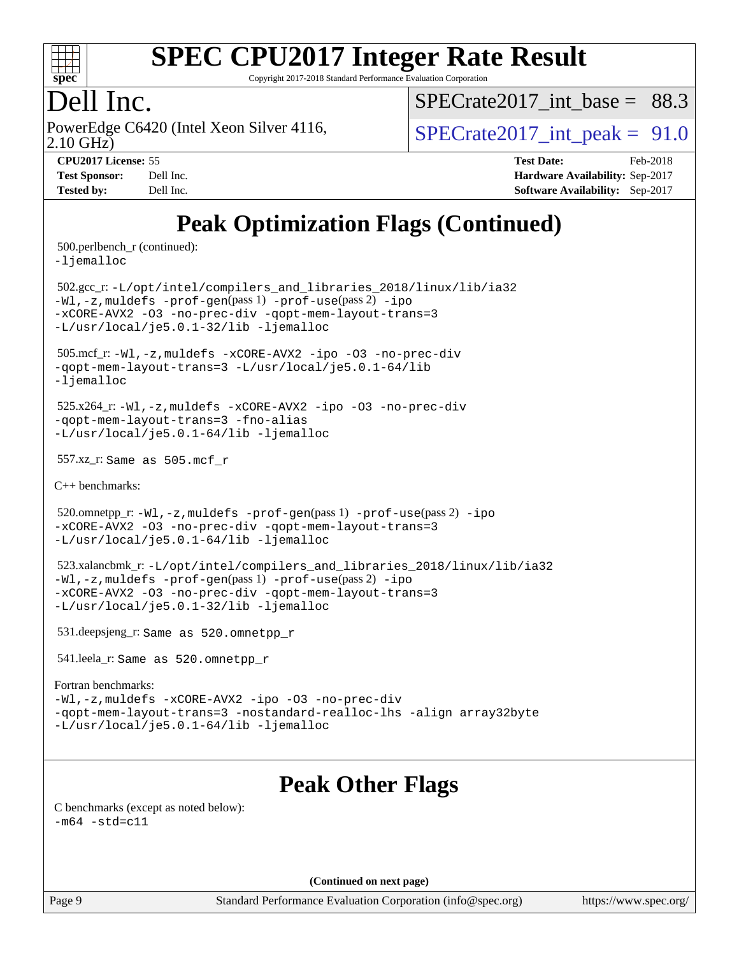

Copyright 2017-2018 Standard Performance Evaluation Corporation

## Dell Inc.

2.10 GHz) PowerEdge C6420 (Intel Xeon Silver 4116,  $\vert$  SPECrate 2017 int peak = 91.0

SPECrate2017 int\_base =  $88.3$ 

**[CPU2017 License:](http://www.spec.org/auto/cpu2017/Docs/result-fields.html#CPU2017License)** 55 **[Test Date:](http://www.spec.org/auto/cpu2017/Docs/result-fields.html#TestDate)** Feb-2018 **[Test Sponsor:](http://www.spec.org/auto/cpu2017/Docs/result-fields.html#TestSponsor)** Dell Inc. **[Hardware Availability:](http://www.spec.org/auto/cpu2017/Docs/result-fields.html#HardwareAvailability)** Sep-2017 **[Tested by:](http://www.spec.org/auto/cpu2017/Docs/result-fields.html#Testedby)** Dell Inc. **[Software Availability:](http://www.spec.org/auto/cpu2017/Docs/result-fields.html#SoftwareAvailability)** Sep-2017

# **[Peak Optimization Flags \(Continued\)](http://www.spec.org/auto/cpu2017/Docs/result-fields.html#PeakOptimizationFlags)**

500.perlbench\_r (continued):

[-ljemalloc](http://www.spec.org/cpu2017/results/res2018q1/cpu2017-20180305-03831.flags.html#user_peakEXTRA_LIBS500_perlbench_r_jemalloc_link_lib_d1249b907c500fa1c0672f44f562e3d0f79738ae9e3c4a9c376d49f265a04b9c99b167ecedbf6711b3085be911c67ff61f150a17b3472be731631ba4d0471706)

 502.gcc\_r: [-L/opt/intel/compilers\\_and\\_libraries\\_2018/linux/lib/ia32](http://www.spec.org/cpu2017/results/res2018q1/cpu2017-20180305-03831.flags.html#user_peakCCLD502_gcc_r_Enable-32bit-runtime_af243bdb1d79e4c7a4f720bf8275e627de2ecd461de63307bc14cef0633fde3cd7bb2facb32dcc8be9566045fb55d40ce2b72b725f73827aa7833441b71b9343) [-Wl,-z,muldefs](http://www.spec.org/cpu2017/results/res2018q1/cpu2017-20180305-03831.flags.html#user_peakEXTRA_LDFLAGS502_gcc_r_link_force_multiple1_b4cbdb97b34bdee9ceefcfe54f4c8ea74255f0b02a4b23e853cdb0e18eb4525ac79b5a88067c842dd0ee6996c24547a27a4b99331201badda8798ef8a743f577) [-prof-gen](http://www.spec.org/cpu2017/results/res2018q1/cpu2017-20180305-03831.flags.html#user_peakPASS1_CFLAGSPASS1_LDFLAGS502_gcc_r_prof_gen_5aa4926d6013ddb2a31985c654b3eb18169fc0c6952a63635c234f711e6e63dd76e94ad52365559451ec499a2cdb89e4dc58ba4c67ef54ca681ffbe1461d6b36)(pass 1) [-prof-use](http://www.spec.org/cpu2017/results/res2018q1/cpu2017-20180305-03831.flags.html#user_peakPASS2_CFLAGSPASS2_LDFLAGS502_gcc_r_prof_use_1a21ceae95f36a2b53c25747139a6c16ca95bd9def2a207b4f0849963b97e94f5260e30a0c64f4bb623698870e679ca08317ef8150905d41bd88c6f78df73f19)(pass 2) [-ipo](http://www.spec.org/cpu2017/results/res2018q1/cpu2017-20180305-03831.flags.html#user_peakPASS1_COPTIMIZEPASS2_COPTIMIZE502_gcc_r_f-ipo) [-xCORE-AVX2](http://www.spec.org/cpu2017/results/res2018q1/cpu2017-20180305-03831.flags.html#user_peakPASS2_COPTIMIZE502_gcc_r_f-xCORE-AVX2) [-O3](http://www.spec.org/cpu2017/results/res2018q1/cpu2017-20180305-03831.flags.html#user_peakPASS1_COPTIMIZEPASS2_COPTIMIZE502_gcc_r_f-O3) [-no-prec-div](http://www.spec.org/cpu2017/results/res2018q1/cpu2017-20180305-03831.flags.html#user_peakPASS1_COPTIMIZEPASS2_COPTIMIZE502_gcc_r_f-no-prec-div) [-qopt-mem-layout-trans=3](http://www.spec.org/cpu2017/results/res2018q1/cpu2017-20180305-03831.flags.html#user_peakPASS1_COPTIMIZEPASS2_COPTIMIZE502_gcc_r_f-qopt-mem-layout-trans_de80db37974c74b1f0e20d883f0b675c88c3b01e9d123adea9b28688d64333345fb62bc4a798493513fdb68f60282f9a726aa07f478b2f7113531aecce732043) [-L/usr/local/je5.0.1-32/lib](http://www.spec.org/cpu2017/results/res2018q1/cpu2017-20180305-03831.flags.html#user_peakEXTRA_LIBS502_gcc_r_jemalloc_link_path32_e29f22e8e6c17053bbc6a0971f5a9c01a601a06bb1a59df2084b77a2fe0a2995b64fd4256feaeea39eeba3aae142e96e2b2b0a28974019c0c0c88139a84f900a) [-ljemalloc](http://www.spec.org/cpu2017/results/res2018q1/cpu2017-20180305-03831.flags.html#user_peakEXTRA_LIBS502_gcc_r_jemalloc_link_lib_d1249b907c500fa1c0672f44f562e3d0f79738ae9e3c4a9c376d49f265a04b9c99b167ecedbf6711b3085be911c67ff61f150a17b3472be731631ba4d0471706)

 505.mcf\_r: [-Wl,-z,muldefs](http://www.spec.org/cpu2017/results/res2018q1/cpu2017-20180305-03831.flags.html#user_peakEXTRA_LDFLAGS505_mcf_r_link_force_multiple1_b4cbdb97b34bdee9ceefcfe54f4c8ea74255f0b02a4b23e853cdb0e18eb4525ac79b5a88067c842dd0ee6996c24547a27a4b99331201badda8798ef8a743f577) [-xCORE-AVX2](http://www.spec.org/cpu2017/results/res2018q1/cpu2017-20180305-03831.flags.html#user_peakCOPTIMIZE505_mcf_r_f-xCORE-AVX2) [-ipo](http://www.spec.org/cpu2017/results/res2018q1/cpu2017-20180305-03831.flags.html#user_peakCOPTIMIZE505_mcf_r_f-ipo) [-O3](http://www.spec.org/cpu2017/results/res2018q1/cpu2017-20180305-03831.flags.html#user_peakCOPTIMIZE505_mcf_r_f-O3) [-no-prec-div](http://www.spec.org/cpu2017/results/res2018q1/cpu2017-20180305-03831.flags.html#user_peakCOPTIMIZE505_mcf_r_f-no-prec-div) [-qopt-mem-layout-trans=3](http://www.spec.org/cpu2017/results/res2018q1/cpu2017-20180305-03831.flags.html#user_peakCOPTIMIZE505_mcf_r_f-qopt-mem-layout-trans_de80db37974c74b1f0e20d883f0b675c88c3b01e9d123adea9b28688d64333345fb62bc4a798493513fdb68f60282f9a726aa07f478b2f7113531aecce732043) [-L/usr/local/je5.0.1-64/lib](http://www.spec.org/cpu2017/results/res2018q1/cpu2017-20180305-03831.flags.html#user_peakEXTRA_LIBS505_mcf_r_jemalloc_link_path64_4b10a636b7bce113509b17f3bd0d6226c5fb2346b9178c2d0232c14f04ab830f976640479e5c33dc2bcbbdad86ecfb6634cbbd4418746f06f368b512fced5394) [-ljemalloc](http://www.spec.org/cpu2017/results/res2018q1/cpu2017-20180305-03831.flags.html#user_peakEXTRA_LIBS505_mcf_r_jemalloc_link_lib_d1249b907c500fa1c0672f44f562e3d0f79738ae9e3c4a9c376d49f265a04b9c99b167ecedbf6711b3085be911c67ff61f150a17b3472be731631ba4d0471706)

 525.x264\_r: [-Wl,-z,muldefs](http://www.spec.org/cpu2017/results/res2018q1/cpu2017-20180305-03831.flags.html#user_peakEXTRA_LDFLAGS525_x264_r_link_force_multiple1_b4cbdb97b34bdee9ceefcfe54f4c8ea74255f0b02a4b23e853cdb0e18eb4525ac79b5a88067c842dd0ee6996c24547a27a4b99331201badda8798ef8a743f577) [-xCORE-AVX2](http://www.spec.org/cpu2017/results/res2018q1/cpu2017-20180305-03831.flags.html#user_peakCOPTIMIZE525_x264_r_f-xCORE-AVX2) [-ipo](http://www.spec.org/cpu2017/results/res2018q1/cpu2017-20180305-03831.flags.html#user_peakCOPTIMIZE525_x264_r_f-ipo) [-O3](http://www.spec.org/cpu2017/results/res2018q1/cpu2017-20180305-03831.flags.html#user_peakCOPTIMIZE525_x264_r_f-O3) [-no-prec-div](http://www.spec.org/cpu2017/results/res2018q1/cpu2017-20180305-03831.flags.html#user_peakCOPTIMIZE525_x264_r_f-no-prec-div) [-qopt-mem-layout-trans=3](http://www.spec.org/cpu2017/results/res2018q1/cpu2017-20180305-03831.flags.html#user_peakCOPTIMIZE525_x264_r_f-qopt-mem-layout-trans_de80db37974c74b1f0e20d883f0b675c88c3b01e9d123adea9b28688d64333345fb62bc4a798493513fdb68f60282f9a726aa07f478b2f7113531aecce732043) [-fno-alias](http://www.spec.org/cpu2017/results/res2018q1/cpu2017-20180305-03831.flags.html#user_peakEXTRA_OPTIMIZE525_x264_r_f-no-alias_77dbac10d91cbfe898fbf4a29d1b29b694089caa623bdd1baccc9957d4edbe8d106c0b357e2748a65b44fc9e83d78098bb898077f3fe92f9faf24f7bd4a07ed7) [-L/usr/local/je5.0.1-64/lib](http://www.spec.org/cpu2017/results/res2018q1/cpu2017-20180305-03831.flags.html#user_peakEXTRA_LIBS525_x264_r_jemalloc_link_path64_4b10a636b7bce113509b17f3bd0d6226c5fb2346b9178c2d0232c14f04ab830f976640479e5c33dc2bcbbdad86ecfb6634cbbd4418746f06f368b512fced5394) [-ljemalloc](http://www.spec.org/cpu2017/results/res2018q1/cpu2017-20180305-03831.flags.html#user_peakEXTRA_LIBS525_x264_r_jemalloc_link_lib_d1249b907c500fa1c0672f44f562e3d0f79738ae9e3c4a9c376d49f265a04b9c99b167ecedbf6711b3085be911c67ff61f150a17b3472be731631ba4d0471706)

557.xz\_r: Same as 505.mcf\_r

[C++ benchmarks:](http://www.spec.org/auto/cpu2017/Docs/result-fields.html#CXXbenchmarks)

520.omnetpp\_r: $-Wl$ ,-z,muldefs -prof-qen(pass 1) [-prof-use](http://www.spec.org/cpu2017/results/res2018q1/cpu2017-20180305-03831.flags.html#user_peakPASS2_CXXFLAGSPASS2_LDFLAGS520_omnetpp_r_prof_use_1a21ceae95f36a2b53c25747139a6c16ca95bd9def2a207b4f0849963b97e94f5260e30a0c64f4bb623698870e679ca08317ef8150905d41bd88c6f78df73f19)(pass 2) [-ipo](http://www.spec.org/cpu2017/results/res2018q1/cpu2017-20180305-03831.flags.html#user_peakPASS1_CXXOPTIMIZEPASS2_CXXOPTIMIZE520_omnetpp_r_f-ipo) [-xCORE-AVX2](http://www.spec.org/cpu2017/results/res2018q1/cpu2017-20180305-03831.flags.html#user_peakPASS2_CXXOPTIMIZE520_omnetpp_r_f-xCORE-AVX2) [-O3](http://www.spec.org/cpu2017/results/res2018q1/cpu2017-20180305-03831.flags.html#user_peakPASS1_CXXOPTIMIZEPASS2_CXXOPTIMIZE520_omnetpp_r_f-O3) [-no-prec-div](http://www.spec.org/cpu2017/results/res2018q1/cpu2017-20180305-03831.flags.html#user_peakPASS1_CXXOPTIMIZEPASS2_CXXOPTIMIZE520_omnetpp_r_f-no-prec-div) [-qopt-mem-layout-trans=3](http://www.spec.org/cpu2017/results/res2018q1/cpu2017-20180305-03831.flags.html#user_peakPASS1_CXXOPTIMIZEPASS2_CXXOPTIMIZE520_omnetpp_r_f-qopt-mem-layout-trans_de80db37974c74b1f0e20d883f0b675c88c3b01e9d123adea9b28688d64333345fb62bc4a798493513fdb68f60282f9a726aa07f478b2f7113531aecce732043) [-L/usr/local/je5.0.1-64/lib](http://www.spec.org/cpu2017/results/res2018q1/cpu2017-20180305-03831.flags.html#user_peakEXTRA_LIBS520_omnetpp_r_jemalloc_link_path64_4b10a636b7bce113509b17f3bd0d6226c5fb2346b9178c2d0232c14f04ab830f976640479e5c33dc2bcbbdad86ecfb6634cbbd4418746f06f368b512fced5394) [-ljemalloc](http://www.spec.org/cpu2017/results/res2018q1/cpu2017-20180305-03831.flags.html#user_peakEXTRA_LIBS520_omnetpp_r_jemalloc_link_lib_d1249b907c500fa1c0672f44f562e3d0f79738ae9e3c4a9c376d49f265a04b9c99b167ecedbf6711b3085be911c67ff61f150a17b3472be731631ba4d0471706)

 523.xalancbmk\_r: [-L/opt/intel/compilers\\_and\\_libraries\\_2018/linux/lib/ia32](http://www.spec.org/cpu2017/results/res2018q1/cpu2017-20180305-03831.flags.html#user_peakCXXLD523_xalancbmk_r_Enable-32bit-runtime_af243bdb1d79e4c7a4f720bf8275e627de2ecd461de63307bc14cef0633fde3cd7bb2facb32dcc8be9566045fb55d40ce2b72b725f73827aa7833441b71b9343) [-Wl,-z,muldefs](http://www.spec.org/cpu2017/results/res2018q1/cpu2017-20180305-03831.flags.html#user_peakEXTRA_LDFLAGS523_xalancbmk_r_link_force_multiple1_b4cbdb97b34bdee9ceefcfe54f4c8ea74255f0b02a4b23e853cdb0e18eb4525ac79b5a88067c842dd0ee6996c24547a27a4b99331201badda8798ef8a743f577) [-prof-gen](http://www.spec.org/cpu2017/results/res2018q1/cpu2017-20180305-03831.flags.html#user_peakPASS1_CXXFLAGSPASS1_LDFLAGS523_xalancbmk_r_prof_gen_5aa4926d6013ddb2a31985c654b3eb18169fc0c6952a63635c234f711e6e63dd76e94ad52365559451ec499a2cdb89e4dc58ba4c67ef54ca681ffbe1461d6b36)(pass 1) [-prof-use](http://www.spec.org/cpu2017/results/res2018q1/cpu2017-20180305-03831.flags.html#user_peakPASS2_CXXFLAGSPASS2_LDFLAGS523_xalancbmk_r_prof_use_1a21ceae95f36a2b53c25747139a6c16ca95bd9def2a207b4f0849963b97e94f5260e30a0c64f4bb623698870e679ca08317ef8150905d41bd88c6f78df73f19)(pass 2) [-ipo](http://www.spec.org/cpu2017/results/res2018q1/cpu2017-20180305-03831.flags.html#user_peakPASS1_CXXOPTIMIZEPASS2_CXXOPTIMIZE523_xalancbmk_r_f-ipo) [-xCORE-AVX2](http://www.spec.org/cpu2017/results/res2018q1/cpu2017-20180305-03831.flags.html#user_peakPASS2_CXXOPTIMIZE523_xalancbmk_r_f-xCORE-AVX2) [-O3](http://www.spec.org/cpu2017/results/res2018q1/cpu2017-20180305-03831.flags.html#user_peakPASS1_CXXOPTIMIZEPASS2_CXXOPTIMIZE523_xalancbmk_r_f-O3) [-no-prec-div](http://www.spec.org/cpu2017/results/res2018q1/cpu2017-20180305-03831.flags.html#user_peakPASS1_CXXOPTIMIZEPASS2_CXXOPTIMIZE523_xalancbmk_r_f-no-prec-div) [-qopt-mem-layout-trans=3](http://www.spec.org/cpu2017/results/res2018q1/cpu2017-20180305-03831.flags.html#user_peakPASS1_CXXOPTIMIZEPASS2_CXXOPTIMIZE523_xalancbmk_r_f-qopt-mem-layout-trans_de80db37974c74b1f0e20d883f0b675c88c3b01e9d123adea9b28688d64333345fb62bc4a798493513fdb68f60282f9a726aa07f478b2f7113531aecce732043) [-L/usr/local/je5.0.1-32/lib](http://www.spec.org/cpu2017/results/res2018q1/cpu2017-20180305-03831.flags.html#user_peakEXTRA_LIBS523_xalancbmk_r_jemalloc_link_path32_e29f22e8e6c17053bbc6a0971f5a9c01a601a06bb1a59df2084b77a2fe0a2995b64fd4256feaeea39eeba3aae142e96e2b2b0a28974019c0c0c88139a84f900a) [-ljemalloc](http://www.spec.org/cpu2017/results/res2018q1/cpu2017-20180305-03831.flags.html#user_peakEXTRA_LIBS523_xalancbmk_r_jemalloc_link_lib_d1249b907c500fa1c0672f44f562e3d0f79738ae9e3c4a9c376d49f265a04b9c99b167ecedbf6711b3085be911c67ff61f150a17b3472be731631ba4d0471706)

531.deepsjeng\_r: Same as 520.omnetpp\_r

541.leela\_r: Same as 520.omnetpp\_r

#### [Fortran benchmarks](http://www.spec.org/auto/cpu2017/Docs/result-fields.html#Fortranbenchmarks):

[-Wl,-z,muldefs](http://www.spec.org/cpu2017/results/res2018q1/cpu2017-20180305-03831.flags.html#user_FCpeak_link_force_multiple1_b4cbdb97b34bdee9ceefcfe54f4c8ea74255f0b02a4b23e853cdb0e18eb4525ac79b5a88067c842dd0ee6996c24547a27a4b99331201badda8798ef8a743f577) [-xCORE-AVX2](http://www.spec.org/cpu2017/results/res2018q1/cpu2017-20180305-03831.flags.html#user_FCpeak_f-xCORE-AVX2) [-ipo](http://www.spec.org/cpu2017/results/res2018q1/cpu2017-20180305-03831.flags.html#user_FCpeak_f-ipo) [-O3](http://www.spec.org/cpu2017/results/res2018q1/cpu2017-20180305-03831.flags.html#user_FCpeak_f-O3) [-no-prec-div](http://www.spec.org/cpu2017/results/res2018q1/cpu2017-20180305-03831.flags.html#user_FCpeak_f-no-prec-div) [-qopt-mem-layout-trans=3](http://www.spec.org/cpu2017/results/res2018q1/cpu2017-20180305-03831.flags.html#user_FCpeak_f-qopt-mem-layout-trans_de80db37974c74b1f0e20d883f0b675c88c3b01e9d123adea9b28688d64333345fb62bc4a798493513fdb68f60282f9a726aa07f478b2f7113531aecce732043) [-nostandard-realloc-lhs](http://www.spec.org/cpu2017/results/res2018q1/cpu2017-20180305-03831.flags.html#user_FCpeak_f_2003_std_realloc_82b4557e90729c0f113870c07e44d33d6f5a304b4f63d4c15d2d0f1fab99f5daaed73bdb9275d9ae411527f28b936061aa8b9c8f2d63842963b95c9dd6426b8a) [-align array32byte](http://www.spec.org/cpu2017/results/res2018q1/cpu2017-20180305-03831.flags.html#user_FCpeak_align_array32byte_b982fe038af199962ba9a80c053b8342c548c85b40b8e86eb3cc33dee0d7986a4af373ac2d51c3f7cf710a18d62fdce2948f201cd044323541f22fc0fffc51b6) [-L/usr/local/je5.0.1-64/lib](http://www.spec.org/cpu2017/results/res2018q1/cpu2017-20180305-03831.flags.html#user_FCpeak_jemalloc_link_path64_4b10a636b7bce113509b17f3bd0d6226c5fb2346b9178c2d0232c14f04ab830f976640479e5c33dc2bcbbdad86ecfb6634cbbd4418746f06f368b512fced5394) [-ljemalloc](http://www.spec.org/cpu2017/results/res2018q1/cpu2017-20180305-03831.flags.html#user_FCpeak_jemalloc_link_lib_d1249b907c500fa1c0672f44f562e3d0f79738ae9e3c4a9c376d49f265a04b9c99b167ecedbf6711b3085be911c67ff61f150a17b3472be731631ba4d0471706)

## **[Peak Other Flags](http://www.spec.org/auto/cpu2017/Docs/result-fields.html#PeakOtherFlags)**

[C benchmarks \(except as noted below\)](http://www.spec.org/auto/cpu2017/Docs/result-fields.html#Cbenchmarksexceptasnotedbelow):  $-m64 - std= c11$  $-m64 - std= c11$ 

**(Continued on next page)**

Page 9 Standard Performance Evaluation Corporation [\(info@spec.org\)](mailto:info@spec.org) <https://www.spec.org/>